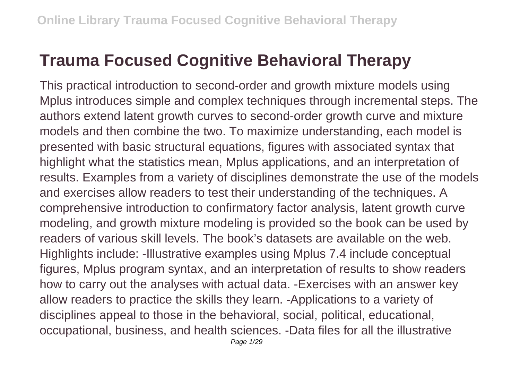## **Trauma Focused Cognitive Behavioral Therapy**

This practical introduction to second-order and growth mixture models using Mplus introduces simple and complex techniques through incremental steps. The authors extend latent growth curves to second-order growth curve and mixture models and then combine the two. To maximize understanding, each model is presented with basic structural equations, figures with associated syntax that highlight what the statistics mean, Mplus applications, and an interpretation of results. Examples from a variety of disciplines demonstrate the use of the models and exercises allow readers to test their understanding of the techniques. A comprehensive introduction to confirmatory factor analysis, latent growth curve modeling, and growth mixture modeling is provided so the book can be used by readers of various skill levels. The book's datasets are available on the web. Highlights include: -Illustrative examples using Mplus 7.4 include conceptual figures, Mplus program syntax, and an interpretation of results to show readers how to carry out the analyses with actual data. -Exercises with an answer key allow readers to practice the skills they learn. -Applications to a variety of disciplines appeal to those in the behavioral, social, political, educational, occupational, business, and health sciences. -Data files for all the illustrative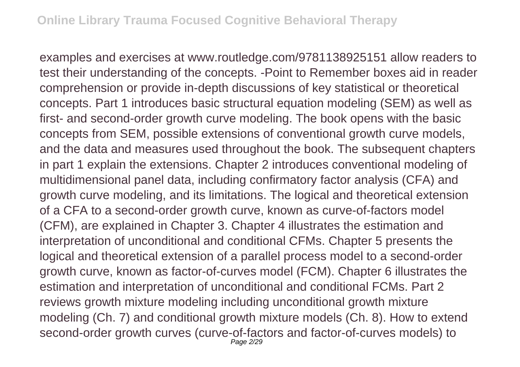examples and exercises at www.routledge.com/9781138925151 allow readers to test their understanding of the concepts. -Point to Remember boxes aid in reader comprehension or provide in-depth discussions of key statistical or theoretical concepts. Part 1 introduces basic structural equation modeling (SEM) as well as first- and second-order growth curve modeling. The book opens with the basic concepts from SEM, possible extensions of conventional growth curve models, and the data and measures used throughout the book. The subsequent chapters in part 1 explain the extensions. Chapter 2 introduces conventional modeling of multidimensional panel data, including confirmatory factor analysis (CFA) and growth curve modeling, and its limitations. The logical and theoretical extension of a CFA to a second-order growth curve, known as curve-of-factors model (CFM), are explained in Chapter 3. Chapter 4 illustrates the estimation and interpretation of unconditional and conditional CFMs. Chapter 5 presents the logical and theoretical extension of a parallel process model to a second-order growth curve, known as factor-of-curves model (FCM). Chapter 6 illustrates the estimation and interpretation of unconditional and conditional FCMs. Part 2 reviews growth mixture modeling including unconditional growth mixture modeling (Ch. 7) and conditional growth mixture models (Ch. 8). How to extend second-order growth curves (curve-of-factors and factor-of-curves models) to Page 2/29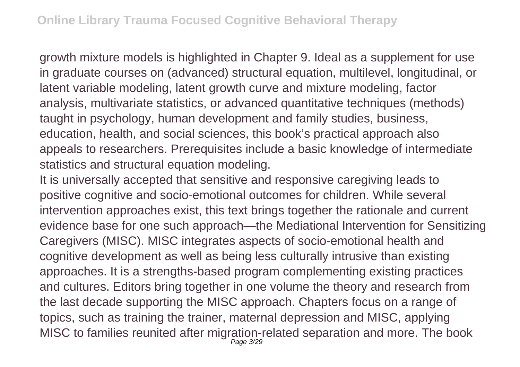growth mixture models is highlighted in Chapter 9. Ideal as a supplement for use in graduate courses on (advanced) structural equation, multilevel, longitudinal, or latent variable modeling, latent growth curve and mixture modeling, factor analysis, multivariate statistics, or advanced quantitative techniques (methods) taught in psychology, human development and family studies, business, education, health, and social sciences, this book's practical approach also appeals to researchers. Prerequisites include a basic knowledge of intermediate statistics and structural equation modeling.

It is universally accepted that sensitive and responsive caregiving leads to positive cognitive and socio-emotional outcomes for children. While several intervention approaches exist, this text brings together the rationale and current evidence base for one such approach—the Mediational Intervention for Sensitizing Caregivers (MISC). MISC integrates aspects of socio-emotional health and cognitive development as well as being less culturally intrusive than existing approaches. It is a strengths-based program complementing existing practices and cultures. Editors bring together in one volume the theory and research from the last decade supporting the MISC approach. Chapters focus on a range of topics, such as training the trainer, maternal depression and MISC, applying MISC to families reunited after migration-related separation and more. The book Page 3/29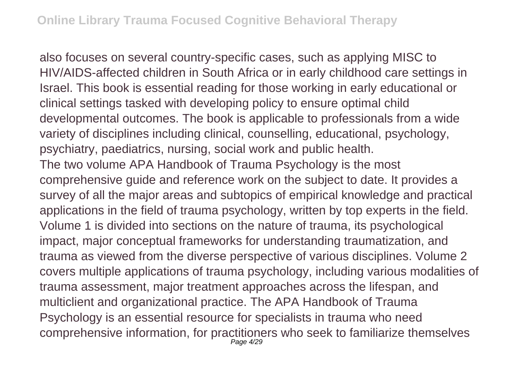also focuses on several country-specific cases, such as applying MISC to HIV/AIDS-affected children in South Africa or in early childhood care settings in Israel. This book is essential reading for those working in early educational or clinical settings tasked with developing policy to ensure optimal child developmental outcomes. The book is applicable to professionals from a wide variety of disciplines including clinical, counselling, educational, psychology, psychiatry, paediatrics, nursing, social work and public health. The two volume APA Handbook of Trauma Psychology is the most comprehensive guide and reference work on the subject to date. It provides a survey of all the major areas and subtopics of empirical knowledge and practical applications in the field of trauma psychology, written by top experts in the field. Volume 1 is divided into sections on the nature of trauma, its psychological impact, major conceptual frameworks for understanding traumatization, and trauma as viewed from the diverse perspective of various disciplines. Volume 2 covers multiple applications of trauma psychology, including various modalities of trauma assessment, major treatment approaches across the lifespan, and multiclient and organizational practice. The APA Handbook of Trauma Psychology is an essential resource for specialists in trauma who need comprehensive information, for practitioners who seek to familiarize themselves Page 4/29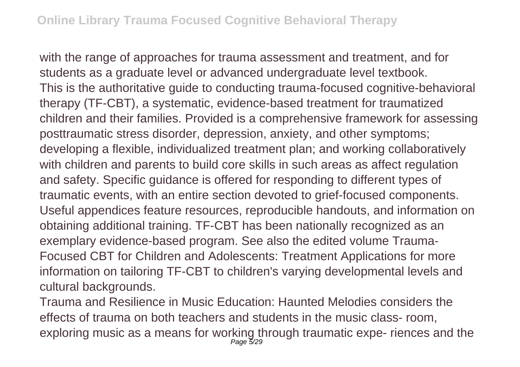with the range of approaches for trauma assessment and treatment, and for students as a graduate level or advanced undergraduate level textbook. This is the authoritative guide to conducting trauma-focused cognitive-behavioral therapy (TF-CBT), a systematic, evidence-based treatment for traumatized children and their families. Provided is a comprehensive framework for assessing posttraumatic stress disorder, depression, anxiety, and other symptoms; developing a flexible, individualized treatment plan; and working collaboratively with children and parents to build core skills in such areas as affect regulation and safety. Specific guidance is offered for responding to different types of traumatic events, with an entire section devoted to grief-focused components. Useful appendices feature resources, reproducible handouts, and information on obtaining additional training. TF-CBT has been nationally recognized as an exemplary evidence-based program. See also the edited volume Trauma-Focused CBT for Children and Adolescents: Treatment Applications for more information on tailoring TF-CBT to children's varying developmental levels and cultural backgrounds.

Trauma and Resilience in Music Education: Haunted Melodies considers the effects of trauma on both teachers and students in the music class- room, exploring music as a means for working through traumatic expe- riences and the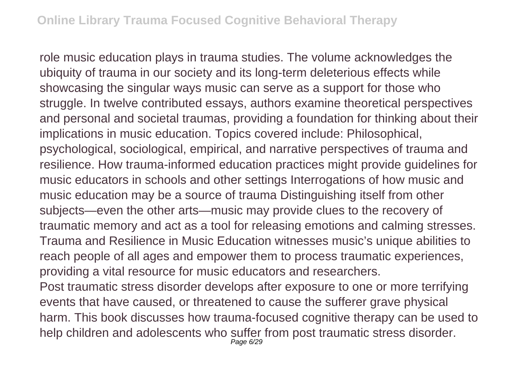role music education plays in trauma studies. The volume acknowledges the ubiquity of trauma in our society and its long-term deleterious effects while showcasing the singular ways music can serve as a support for those who struggle. In twelve contributed essays, authors examine theoretical perspectives and personal and societal traumas, providing a foundation for thinking about their implications in music education. Topics covered include: Philosophical, psychological, sociological, empirical, and narrative perspectives of trauma and resilience. How trauma-informed education practices might provide guidelines for music educators in schools and other settings Interrogations of how music and music education may be a source of trauma Distinguishing itself from other subjects—even the other arts—music may provide clues to the recovery of traumatic memory and act as a tool for releasing emotions and calming stresses. Trauma and Resilience in Music Education witnesses music's unique abilities to reach people of all ages and empower them to process traumatic experiences, providing a vital resource for music educators and researchers.

Post traumatic stress disorder develops after exposure to one or more terrifying events that have caused, or threatened to cause the sufferer grave physical harm. This book discusses how trauma-focused cognitive therapy can be used to help children and adolescents who suffer from post traumatic stress disorder.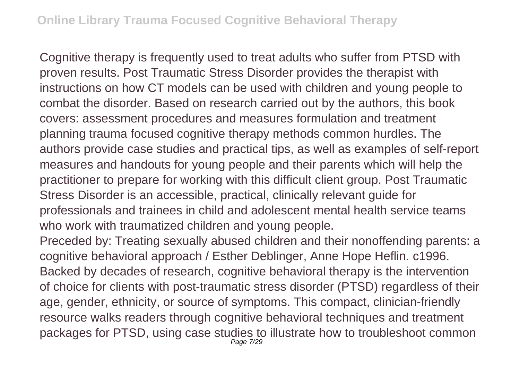Cognitive therapy is frequently used to treat adults who suffer from PTSD with proven results. Post Traumatic Stress Disorder provides the therapist with instructions on how CT models can be used with children and young people to combat the disorder. Based on research carried out by the authors, this book covers: assessment procedures and measures formulation and treatment planning trauma focused cognitive therapy methods common hurdles. The authors provide case studies and practical tips, as well as examples of self-report measures and handouts for young people and their parents which will help the practitioner to prepare for working with this difficult client group. Post Traumatic Stress Disorder is an accessible, practical, clinically relevant guide for professionals and trainees in child and adolescent mental health service teams who work with traumatized children and young people.

Preceded by: Treating sexually abused children and their nonoffending parents: a cognitive behavioral approach / Esther Deblinger, Anne Hope Heflin. c1996. Backed by decades of research, cognitive behavioral therapy is the intervention of choice for clients with post-traumatic stress disorder (PTSD) regardless of their age, gender, ethnicity, or source of symptoms. This compact, clinician-friendly resource walks readers through cognitive behavioral techniques and treatment packages for PTSD, using case studies to illustrate how to troubleshoot common Page 7/29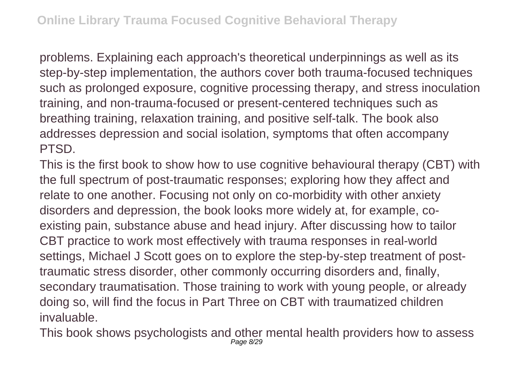problems. Explaining each approach's theoretical underpinnings as well as its step-by-step implementation, the authors cover both trauma-focused techniques such as prolonged exposure, cognitive processing therapy, and stress inoculation training, and non-trauma-focused or present-centered techniques such as breathing training, relaxation training, and positive self-talk. The book also addresses depression and social isolation, symptoms that often accompany PTSD.

This is the first book to show how to use cognitive behavioural therapy (CBT) with the full spectrum of post-traumatic responses; exploring how they affect and relate to one another. Focusing not only on co-morbidity with other anxiety disorders and depression, the book looks more widely at, for example, coexisting pain, substance abuse and head injury. After discussing how to tailor CBT practice to work most effectively with trauma responses in real-world settings, Michael J Scott goes on to explore the step-by-step treatment of posttraumatic stress disorder, other commonly occurring disorders and, finally, secondary traumatisation. Those training to work with young people, or already doing so, will find the focus in Part Three on CBT with traumatized children invaluable.

This book shows psychologists and other mental health providers how to assess Page 8/29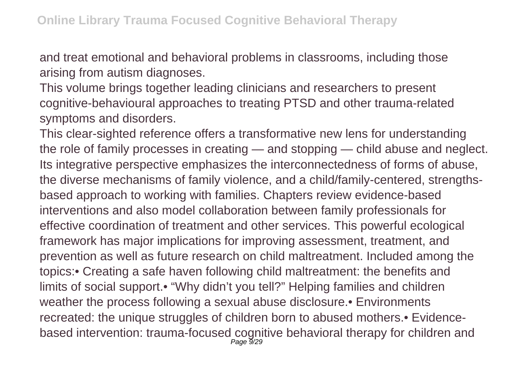and treat emotional and behavioral problems in classrooms, including those arising from autism diagnoses.

This volume brings together leading clinicians and researchers to present cognitive-behavioural approaches to treating PTSD and other trauma-related symptoms and disorders.

This clear-sighted reference offers a transformative new lens for understanding the role of family processes in creating — and stopping — child abuse and neglect. Its integrative perspective emphasizes the interconnectedness of forms of abuse, the diverse mechanisms of family violence, and a child/family-centered, strengthsbased approach to working with families. Chapters review evidence-based interventions and also model collaboration between family professionals for effective coordination of treatment and other services. This powerful ecological framework has major implications for improving assessment, treatment, and prevention as well as future research on child maltreatment. Included among the topics:• Creating a safe haven following child maltreatment: the benefits and limits of social support.• "Why didn't you tell?" Helping families and children weather the process following a sexual abuse disclosure.• Environments recreated: the unique struggles of children born to abused mothers.• Evidencebased intervention: trauma-focused cognitive behavioral therapy for children and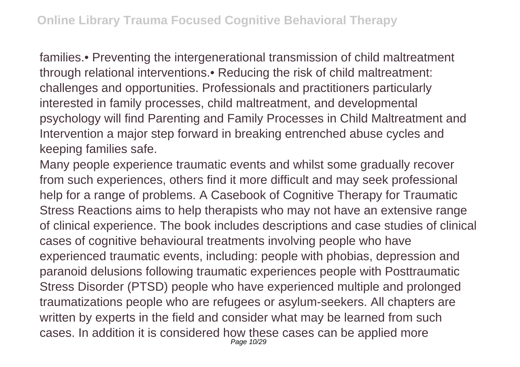families.• Preventing the intergenerational transmission of child maltreatment through relational interventions.• Reducing the risk of child maltreatment: challenges and opportunities. Professionals and practitioners particularly interested in family processes, child maltreatment, and developmental psychology will find Parenting and Family Processes in Child Maltreatment and Intervention a major step forward in breaking entrenched abuse cycles and keeping families safe.

Many people experience traumatic events and whilst some gradually recover from such experiences, others find it more difficult and may seek professional help for a range of problems. A Casebook of Cognitive Therapy for Traumatic Stress Reactions aims to help therapists who may not have an extensive range of clinical experience. The book includes descriptions and case studies of clinical cases of cognitive behavioural treatments involving people who have experienced traumatic events, including: people with phobias, depression and paranoid delusions following traumatic experiences people with Posttraumatic Stress Disorder (PTSD) people who have experienced multiple and prolonged traumatizations people who are refugees or asylum-seekers. All chapters are written by experts in the field and consider what may be learned from such cases. In addition it is considered how these cases can be applied more Page 10/29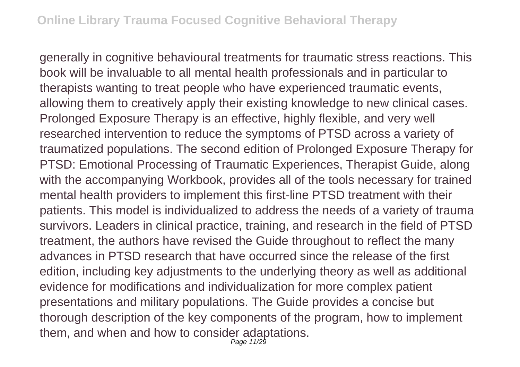generally in cognitive behavioural treatments for traumatic stress reactions. This book will be invaluable to all mental health professionals and in particular to therapists wanting to treat people who have experienced traumatic events, allowing them to creatively apply their existing knowledge to new clinical cases. Prolonged Exposure Therapy is an effective, highly flexible, and very well researched intervention to reduce the symptoms of PTSD across a variety of traumatized populations. The second edition of Prolonged Exposure Therapy for PTSD: Emotional Processing of Traumatic Experiences, Therapist Guide, along with the accompanying Workbook, provides all of the tools necessary for trained mental health providers to implement this first-line PTSD treatment with their patients. This model is individualized to address the needs of a variety of trauma survivors. Leaders in clinical practice, training, and research in the field of PTSD treatment, the authors have revised the Guide throughout to reflect the many advances in PTSD research that have occurred since the release of the first edition, including key adjustments to the underlying theory as well as additional evidence for modifications and individualization for more complex patient presentations and military populations. The Guide provides a concise but thorough description of the key components of the program, how to implement them, and when and how to consider adaptations.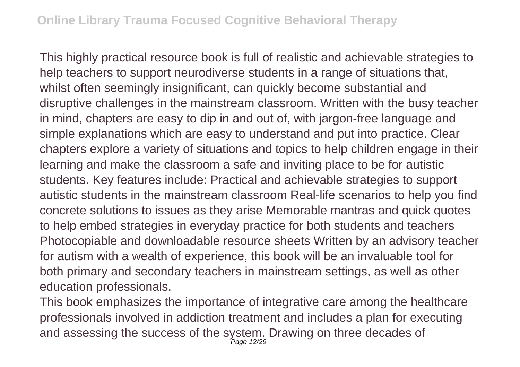This highly practical resource book is full of realistic and achievable strategies to help teachers to support neurodiverse students in a range of situations that, whilst often seemingly insignificant, can quickly become substantial and disruptive challenges in the mainstream classroom. Written with the busy teacher in mind, chapters are easy to dip in and out of, with jargon-free language and simple explanations which are easy to understand and put into practice. Clear chapters explore a variety of situations and topics to help children engage in their learning and make the classroom a safe and inviting place to be for autistic students. Key features include: Practical and achievable strategies to support autistic students in the mainstream classroom Real-life scenarios to help you find concrete solutions to issues as they arise Memorable mantras and quick quotes to help embed strategies in everyday practice for both students and teachers Photocopiable and downloadable resource sheets Written by an advisory teacher for autism with a wealth of experience, this book will be an invaluable tool for both primary and secondary teachers in mainstream settings, as well as other education professionals.

This book emphasizes the importance of integrative care among the healthcare professionals involved in addiction treatment and includes a plan for executing and assessing the success of the system. Drawing on three decades of Page 12/29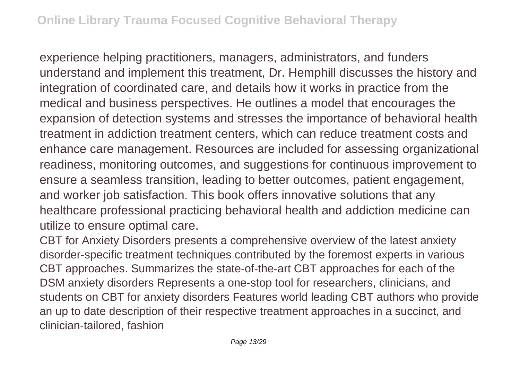experience helping practitioners, managers, administrators, and funders understand and implement this treatment, Dr. Hemphill discusses the history and integration of coordinated care, and details how it works in practice from the medical and business perspectives. He outlines a model that encourages the expansion of detection systems and stresses the importance of behavioral health treatment in addiction treatment centers, which can reduce treatment costs and enhance care management. Resources are included for assessing organizational readiness, monitoring outcomes, and suggestions for continuous improvement to ensure a seamless transition, leading to better outcomes, patient engagement, and worker job satisfaction. This book offers innovative solutions that any healthcare professional practicing behavioral health and addiction medicine can utilize to ensure optimal care.

CBT for Anxiety Disorders presents a comprehensive overview of the latest anxiety disorder-specific treatment techniques contributed by the foremost experts in various CBT approaches. Summarizes the state-of-the-art CBT approaches for each of the DSM anxiety disorders Represents a one-stop tool for researchers, clinicians, and students on CBT for anxiety disorders Features world leading CBT authors who provide an up to date description of their respective treatment approaches in a succinct, and clinician-tailored, fashion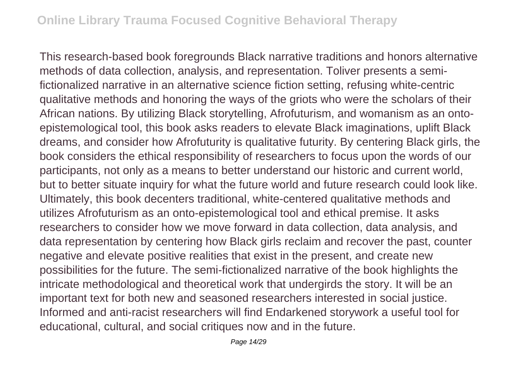This research-based book foregrounds Black narrative traditions and honors alternative methods of data collection, analysis, and representation. Toliver presents a semifictionalized narrative in an alternative science fiction setting, refusing white-centric qualitative methods and honoring the ways of the griots who were the scholars of their African nations. By utilizing Black storytelling, Afrofuturism, and womanism as an ontoepistemological tool, this book asks readers to elevate Black imaginations, uplift Black dreams, and consider how Afrofuturity is qualitative futurity. By centering Black girls, the book considers the ethical responsibility of researchers to focus upon the words of our participants, not only as a means to better understand our historic and current world, but to better situate inquiry for what the future world and future research could look like. Ultimately, this book decenters traditional, white-centered qualitative methods and utilizes Afrofuturism as an onto-epistemological tool and ethical premise. It asks researchers to consider how we move forward in data collection, data analysis, and data representation by centering how Black girls reclaim and recover the past, counter negative and elevate positive realities that exist in the present, and create new possibilities for the future. The semi-fictionalized narrative of the book highlights the intricate methodological and theoretical work that undergirds the story. It will be an important text for both new and seasoned researchers interested in social justice. Informed and anti-racist researchers will find Endarkened storywork a useful tool for educational, cultural, and social critiques now and in the future.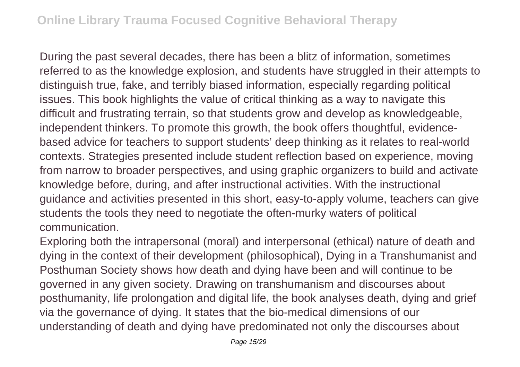During the past several decades, there has been a blitz of information, sometimes referred to as the knowledge explosion, and students have struggled in their attempts to distinguish true, fake, and terribly biased information, especially regarding political issues. This book highlights the value of critical thinking as a way to navigate this difficult and frustrating terrain, so that students grow and develop as knowledgeable, independent thinkers. To promote this growth, the book offers thoughtful, evidencebased advice for teachers to support students' deep thinking as it relates to real-world contexts. Strategies presented include student reflection based on experience, moving from narrow to broader perspectives, and using graphic organizers to build and activate knowledge before, during, and after instructional activities. With the instructional guidance and activities presented in this short, easy-to-apply volume, teachers can give students the tools they need to negotiate the often-murky waters of political communication.

Exploring both the intrapersonal (moral) and interpersonal (ethical) nature of death and dying in the context of their development (philosophical), Dying in a Transhumanist and Posthuman Society shows how death and dying have been and will continue to be governed in any given society. Drawing on transhumanism and discourses about posthumanity, life prolongation and digital life, the book analyses death, dying and grief via the governance of dying. It states that the bio-medical dimensions of our understanding of death and dying have predominated not only the discourses about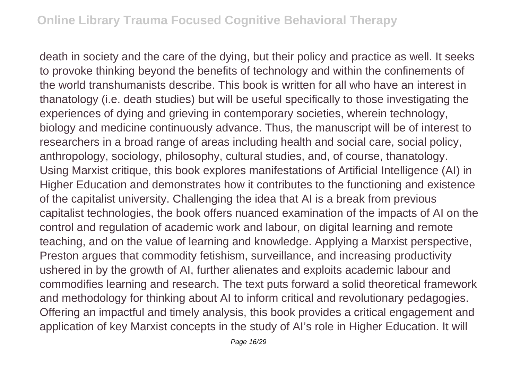death in society and the care of the dying, but their policy and practice as well. It seeks to provoke thinking beyond the benefits of technology and within the confinements of the world transhumanists describe. This book is written for all who have an interest in thanatology (i.e. death studies) but will be useful specifically to those investigating the experiences of dying and grieving in contemporary societies, wherein technology, biology and medicine continuously advance. Thus, the manuscript will be of interest to researchers in a broad range of areas including health and social care, social policy, anthropology, sociology, philosophy, cultural studies, and, of course, thanatology. Using Marxist critique, this book explores manifestations of Artificial Intelligence (AI) in Higher Education and demonstrates how it contributes to the functioning and existence of the capitalist university. Challenging the idea that AI is a break from previous capitalist technologies, the book offers nuanced examination of the impacts of AI on the control and regulation of academic work and labour, on digital learning and remote teaching, and on the value of learning and knowledge. Applying a Marxist perspective, Preston argues that commodity fetishism, surveillance, and increasing productivity ushered in by the growth of AI, further alienates and exploits academic labour and commodifies learning and research. The text puts forward a solid theoretical framework and methodology for thinking about AI to inform critical and revolutionary pedagogies. Offering an impactful and timely analysis, this book provides a critical engagement and application of key Marxist concepts in the study of AI's role in Higher Education. It will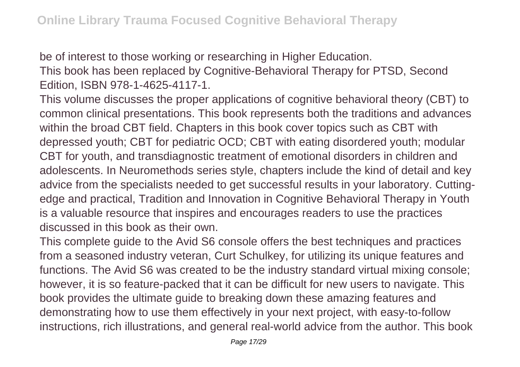be of interest to those working or researching in Higher Education. This book has been replaced by Cognitive-Behavioral Therapy for PTSD, Second Edition, ISBN 978-1-4625-4117-1.

This volume discusses the proper applications of cognitive behavioral theory (CBT) to common clinical presentations. This book represents both the traditions and advances within the broad CBT field. Chapters in this book cover topics such as CBT with depressed youth; CBT for pediatric OCD; CBT with eating disordered youth; modular CBT for youth, and transdiagnostic treatment of emotional disorders in children and adolescents. In Neuromethods series style, chapters include the kind of detail and key advice from the specialists needed to get successful results in your laboratory. Cuttingedge and practical, Tradition and Innovation in Cognitive Behavioral Therapy in Youth is a valuable resource that inspires and encourages readers to use the practices discussed in this book as their own.

This complete guide to the Avid S6 console offers the best techniques and practices from a seasoned industry veteran, Curt Schulkey, for utilizing its unique features and functions. The Avid S6 was created to be the industry standard virtual mixing console; however, it is so feature-packed that it can be difficult for new users to navigate. This book provides the ultimate guide to breaking down these amazing features and demonstrating how to use them effectively in your next project, with easy-to-follow instructions, rich illustrations, and general real-world advice from the author. This book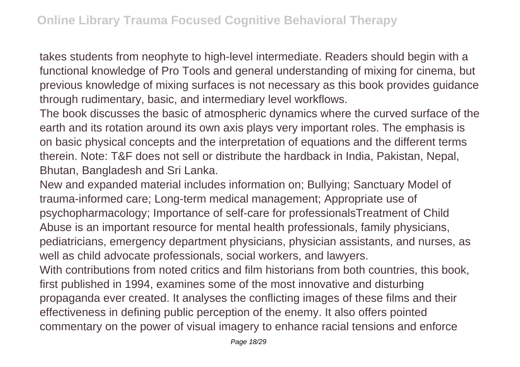takes students from neophyte to high-level intermediate. Readers should begin with a functional knowledge of Pro Tools and general understanding of mixing for cinema, but previous knowledge of mixing surfaces is not necessary as this book provides guidance through rudimentary, basic, and intermediary level workflows.

The book discusses the basic of atmospheric dynamics where the curved surface of the earth and its rotation around its own axis plays very important roles. The emphasis is on basic physical concepts and the interpretation of equations and the different terms therein. Note: T&F does not sell or distribute the hardback in India, Pakistan, Nepal, Bhutan, Bangladesh and Sri Lanka.

New and expanded material includes information on; Bullying; Sanctuary Model of trauma-informed care; Long-term medical management; Appropriate use of psychopharmacology; Importance of self-care for professionalsTreatment of Child Abuse is an important resource for mental health professionals, family physicians, pediatricians, emergency department physicians, physician assistants, and nurses, as well as child advocate professionals, social workers, and lawyers.

With contributions from noted critics and film historians from both countries, this book, first published in 1994, examines some of the most innovative and disturbing propaganda ever created. It analyses the conflicting images of these films and their effectiveness in defining public perception of the enemy. It also offers pointed commentary on the power of visual imagery to enhance racial tensions and enforce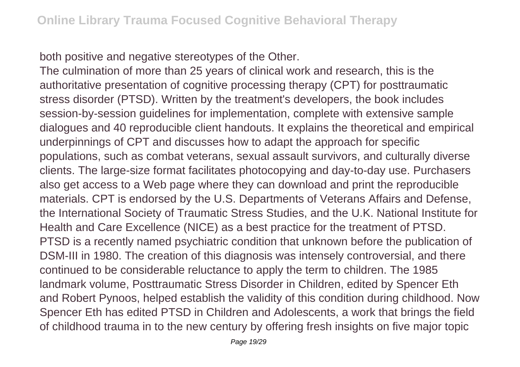both positive and negative stereotypes of the Other.

The culmination of more than 25 years of clinical work and research, this is the authoritative presentation of cognitive processing therapy (CPT) for posttraumatic stress disorder (PTSD). Written by the treatment's developers, the book includes session-by-session guidelines for implementation, complete with extensive sample dialogues and 40 reproducible client handouts. It explains the theoretical and empirical underpinnings of CPT and discusses how to adapt the approach for specific populations, such as combat veterans, sexual assault survivors, and culturally diverse clients. The large-size format facilitates photocopying and day-to-day use. Purchasers also get access to a Web page where they can download and print the reproducible materials. CPT is endorsed by the U.S. Departments of Veterans Affairs and Defense, the International Society of Traumatic Stress Studies, and the U.K. National Institute for Health and Care Excellence (NICE) as a best practice for the treatment of PTSD. PTSD is a recently named psychiatric condition that unknown before the publication of DSM-III in 1980. The creation of this diagnosis was intensely controversial, and there continued to be considerable reluctance to apply the term to children. The 1985 landmark volume, Posttraumatic Stress Disorder in Children, edited by Spencer Eth and Robert Pynoos, helped establish the validity of this condition during childhood. Now Spencer Eth has edited PTSD in Children and Adolescents, a work that brings the field of childhood trauma in to the new century by offering fresh insights on five major topic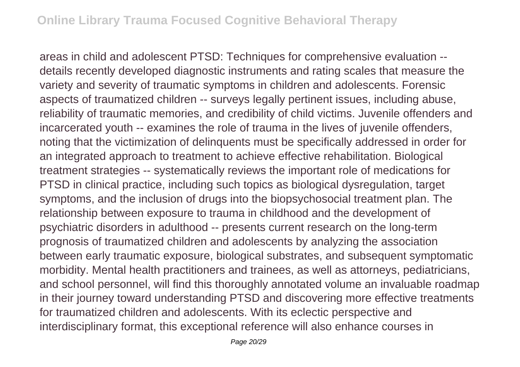areas in child and adolescent PTSD: Techniques for comprehensive evaluation - details recently developed diagnostic instruments and rating scales that measure the variety and severity of traumatic symptoms in children and adolescents. Forensic aspects of traumatized children -- surveys legally pertinent issues, including abuse, reliability of traumatic memories, and credibility of child victims. Juvenile offenders and incarcerated youth -- examines the role of trauma in the lives of juvenile offenders, noting that the victimization of delinquents must be specifically addressed in order for an integrated approach to treatment to achieve effective rehabilitation. Biological treatment strategies -- systematically reviews the important role of medications for PTSD in clinical practice, including such topics as biological dysregulation, target symptoms, and the inclusion of drugs into the biopsychosocial treatment plan. The relationship between exposure to trauma in childhood and the development of psychiatric disorders in adulthood -- presents current research on the long-term prognosis of traumatized children and adolescents by analyzing the association between early traumatic exposure, biological substrates, and subsequent symptomatic morbidity. Mental health practitioners and trainees, as well as attorneys, pediatricians, and school personnel, will find this thoroughly annotated volume an invaluable roadmap in their journey toward understanding PTSD and discovering more effective treatments for traumatized children and adolescents. With its eclectic perspective and interdisciplinary format, this exceptional reference will also enhance courses in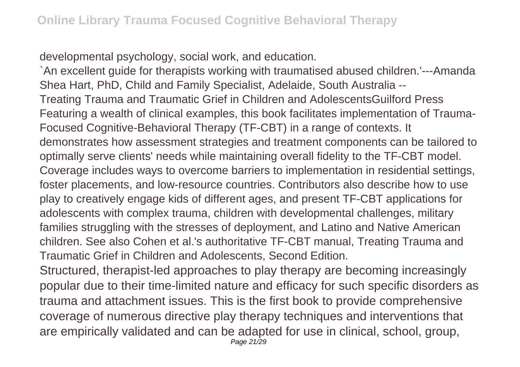developmental psychology, social work, and education.

`An excellent guide for therapists working with traumatised abused children.'---Amanda Shea Hart, PhD, Child and Family Specialist, Adelaide, South Australia -- Treating Trauma and Traumatic Grief in Children and AdolescentsGuilford Press Featuring a wealth of clinical examples, this book facilitates implementation of Trauma-Focused Cognitive-Behavioral Therapy (TF-CBT) in a range of contexts. It demonstrates how assessment strategies and treatment components can be tailored to optimally serve clients' needs while maintaining overall fidelity to the TF-CBT model. Coverage includes ways to overcome barriers to implementation in residential settings, foster placements, and low-resource countries. Contributors also describe how to use play to creatively engage kids of different ages, and present TF-CBT applications for adolescents with complex trauma, children with developmental challenges, military families struggling with the stresses of deployment, and Latino and Native American children. See also Cohen et al.'s authoritative TF-CBT manual, Treating Trauma and Traumatic Grief in Children and Adolescents, Second Edition.

Structured, therapist-led approaches to play therapy are becoming increasingly popular due to their time-limited nature and efficacy for such specific disorders as trauma and attachment issues. This is the first book to provide comprehensive coverage of numerous directive play therapy techniques and interventions that are empirically validated and can be adapted for use in clinical, school, group,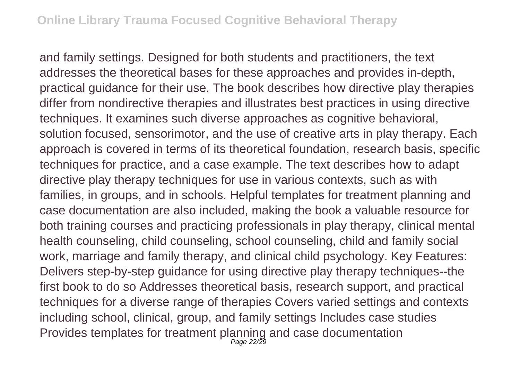and family settings. Designed for both students and practitioners, the text addresses the theoretical bases for these approaches and provides in-depth, practical guidance for their use. The book describes how directive play therapies differ from nondirective therapies and illustrates best practices in using directive techniques. It examines such diverse approaches as cognitive behavioral, solution focused, sensorimotor, and the use of creative arts in play therapy. Each approach is covered in terms of its theoretical foundation, research basis, specific techniques for practice, and a case example. The text describes how to adapt directive play therapy techniques for use in various contexts, such as with families, in groups, and in schools. Helpful templates for treatment planning and case documentation are also included, making the book a valuable resource for both training courses and practicing professionals in play therapy, clinical mental health counseling, child counseling, school counseling, child and family social work, marriage and family therapy, and clinical child psychology. Key Features: Delivers step-by-step guidance for using directive play therapy techniques--the first book to do so Addresses theoretical basis, research support, and practical techniques for a diverse range of therapies Covers varied settings and contexts including school, clinical, group, and family settings Includes case studies Provides templates for treatment planning and case documentation Page 22/29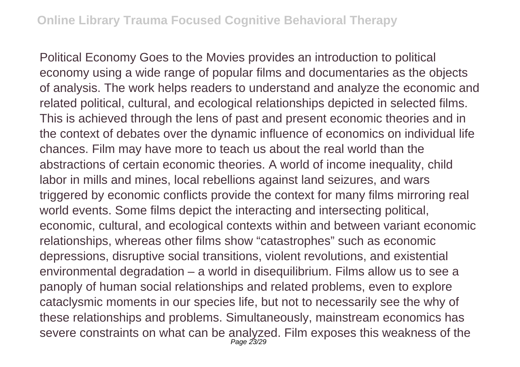Political Economy Goes to the Movies provides an introduction to political economy using a wide range of popular films and documentaries as the objects of analysis. The work helps readers to understand and analyze the economic and related political, cultural, and ecological relationships depicted in selected films. This is achieved through the lens of past and present economic theories and in the context of debates over the dynamic influence of economics on individual life chances. Film may have more to teach us about the real world than the abstractions of certain economic theories. A world of income inequality, child labor in mills and mines, local rebellions against land seizures, and wars triggered by economic conflicts provide the context for many films mirroring real world events. Some films depict the interacting and intersecting political, economic, cultural, and ecological contexts within and between variant economic relationships, whereas other films show "catastrophes" such as economic depressions, disruptive social transitions, violent revolutions, and existential environmental degradation – a world in disequilibrium. Films allow us to see a panoply of human social relationships and related problems, even to explore cataclysmic moments in our species life, but not to necessarily see the why of these relationships and problems. Simultaneously, mainstream economics has severe constraints on what can be analyzed. Film exposes this weakness of the Page 23/29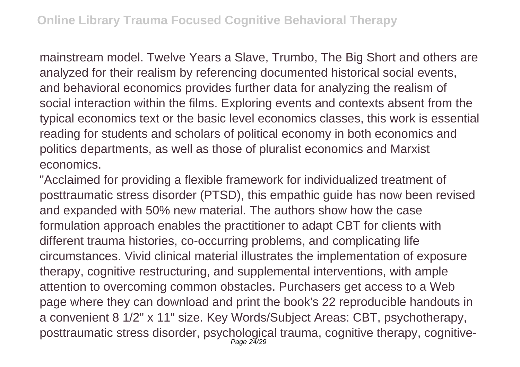mainstream model. Twelve Years a Slave, Trumbo, The Big Short and others are analyzed for their realism by referencing documented historical social events, and behavioral economics provides further data for analyzing the realism of social interaction within the films. Exploring events and contexts absent from the typical economics text or the basic level economics classes, this work is essential reading for students and scholars of political economy in both economics and politics departments, as well as those of pluralist economics and Marxist economics.

"Acclaimed for providing a flexible framework for individualized treatment of posttraumatic stress disorder (PTSD), this empathic guide has now been revised and expanded with 50% new material. The authors show how the case formulation approach enables the practitioner to adapt CBT for clients with different trauma histories, co-occurring problems, and complicating life circumstances. Vivid clinical material illustrates the implementation of exposure therapy, cognitive restructuring, and supplemental interventions, with ample attention to overcoming common obstacles. Purchasers get access to a Web page where they can download and print the book's 22 reproducible handouts in a convenient 8 1/2" x 11" size. Key Words/Subject Areas: CBT, psychotherapy, posttraumatic stress disorder, psychological trauma, cognitive therapy, cognitive-Page 24/29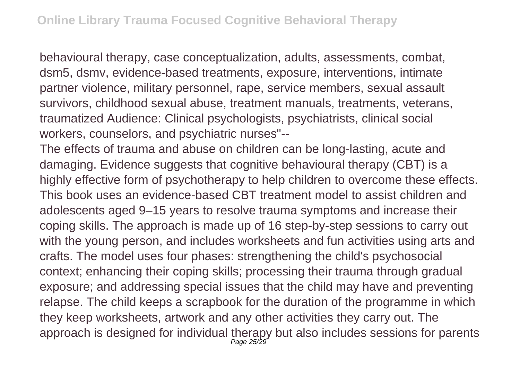behavioural therapy, case conceptualization, adults, assessments, combat, dsm5, dsmv, evidence-based treatments, exposure, interventions, intimate partner violence, military personnel, rape, service members, sexual assault survivors, childhood sexual abuse, treatment manuals, treatments, veterans, traumatized Audience: Clinical psychologists, psychiatrists, clinical social workers, counselors, and psychiatric nurses"--

The effects of trauma and abuse on children can be long-lasting, acute and damaging. Evidence suggests that cognitive behavioural therapy (CBT) is a highly effective form of psychotherapy to help children to overcome these effects. This book uses an evidence-based CBT treatment model to assist children and adolescents aged 9–15 years to resolve trauma symptoms and increase their coping skills. The approach is made up of 16 step-by-step sessions to carry out with the young person, and includes worksheets and fun activities using arts and crafts. The model uses four phases: strengthening the child's psychosocial context; enhancing their coping skills; processing their trauma through gradual exposure; and addressing special issues that the child may have and preventing relapse. The child keeps a scrapbook for the duration of the programme in which they keep worksheets, artwork and any other activities they carry out. The approach is designed for individual therapy but also includes sessions for parents Page 25/29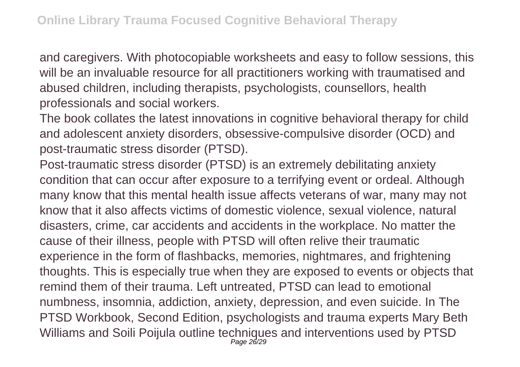and caregivers. With photocopiable worksheets and easy to follow sessions, this will be an invaluable resource for all practitioners working with traumatised and abused children, including therapists, psychologists, counsellors, health professionals and social workers.

The book collates the latest innovations in cognitive behavioral therapy for child and adolescent anxiety disorders, obsessive-compulsive disorder (OCD) and post-traumatic stress disorder (PTSD).

Post-traumatic stress disorder (PTSD) is an extremely debilitating anxiety condition that can occur after exposure to a terrifying event or ordeal. Although many know that this mental health issue affects veterans of war, many may not know that it also affects victims of domestic violence, sexual violence, natural disasters, crime, car accidents and accidents in the workplace. No matter the cause of their illness, people with PTSD will often relive their traumatic experience in the form of flashbacks, memories, nightmares, and frightening thoughts. This is especially true when they are exposed to events or objects that remind them of their trauma. Left untreated, PTSD can lead to emotional numbness, insomnia, addiction, anxiety, depression, and even suicide. In The PTSD Workbook, Second Edition, psychologists and trauma experts Mary Beth Williams and Soili Poijula outline techniques and interventions used by PTSD Page 26/29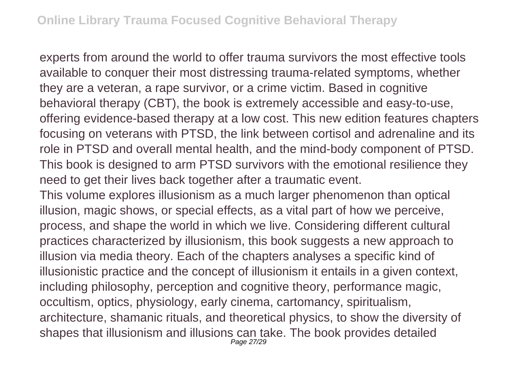experts from around the world to offer trauma survivors the most effective tools available to conquer their most distressing trauma-related symptoms, whether they are a veteran, a rape survivor, or a crime victim. Based in cognitive behavioral therapy (CBT), the book is extremely accessible and easy-to-use, offering evidence-based therapy at a low cost. This new edition features chapters focusing on veterans with PTSD, the link between cortisol and adrenaline and its role in PTSD and overall mental health, and the mind-body component of PTSD. This book is designed to arm PTSD survivors with the emotional resilience they need to get their lives back together after a traumatic event.

This volume explores illusionism as a much larger phenomenon than optical illusion, magic shows, or special effects, as a vital part of how we perceive, process, and shape the world in which we live. Considering different cultural practices characterized by illusionism, this book suggests a new approach to illusion via media theory. Each of the chapters analyses a specific kind of illusionistic practice and the concept of illusionism it entails in a given context, including philosophy, perception and cognitive theory, performance magic, occultism, optics, physiology, early cinema, cartomancy, spiritualism, architecture, shamanic rituals, and theoretical physics, to show the diversity of shapes that illusionism and illusions can take. The book provides detailed Page 27/29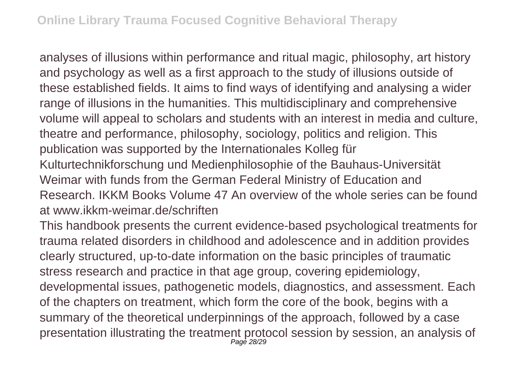analyses of illusions within performance and ritual magic, philosophy, art history and psychology as well as a first approach to the study of illusions outside of these established fields. It aims to find ways of identifying and analysing a wider range of illusions in the humanities. This multidisciplinary and comprehensive volume will appeal to scholars and students with an interest in media and culture, theatre and performance, philosophy, sociology, politics and religion. This publication was supported by the Internationales Kolleg für Kulturtechnikforschung und Medienphilosophie of the Bauhaus-Universität Weimar with funds from the German Federal Ministry of Education and Research. IKKM Books Volume 47 An overview of the whole series can be found at www.jkkm-weimar.de/schriften

This handbook presents the current evidence-based psychological treatments for trauma related disorders in childhood and adolescence and in addition provides clearly structured, up-to-date information on the basic principles of traumatic stress research and practice in that age group, covering epidemiology, developmental issues, pathogenetic models, diagnostics, and assessment. Each of the chapters on treatment, which form the core of the book, begins with a summary of the theoretical underpinnings of the approach, followed by a case presentation illustrating the treatment protocol session by session, an analysis of Page 28/29